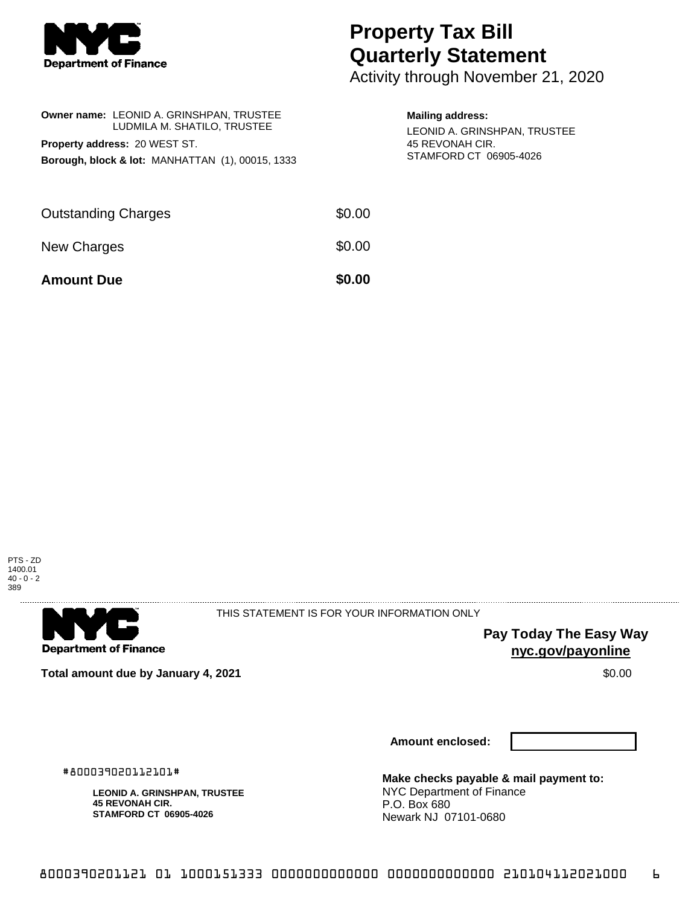

## **Property Tax Bill Quarterly Statement**

Activity through November 21, 2020

| <b>Owner name: LEONID A. GRINSHPAN, TRUSTEE</b><br>LUDMILA M. SHATILO, TRUSTEE<br>Property address: 20 WEST ST.<br><b>Borough, block &amp; lot: MANHATTAN (1), 00015, 1333</b> |        | <b>Mailing address:</b><br>LEONID A. GRINSHPAN, TRUSTEE<br>45 REVONAH CIR.<br>STAMFORD CT 06905-4026 |
|--------------------------------------------------------------------------------------------------------------------------------------------------------------------------------|--------|------------------------------------------------------------------------------------------------------|
| <b>Outstanding Charges</b>                                                                                                                                                     | \$0.00 |                                                                                                      |
| New Charges                                                                                                                                                                    | \$0.00 |                                                                                                      |
| <b>Amount Due</b>                                                                                                                                                              | \$0.00 |                                                                                                      |





THIS STATEMENT IS FOR YOUR INFORMATION ONLY

**Pay Today The Easy Way nyc.gov/payonline**

**Total amount due by January 4, 2021 \$0.00** \$0.00

**Amount enclosed:**

#800039020112101#

**LEONID A. GRINSHPAN, TRUSTEE 45 REVONAH CIR. STAMFORD CT 06905-4026**

**Make checks payable & mail payment to:** NYC Department of Finance P.O. Box 680 Newark NJ 07101-0680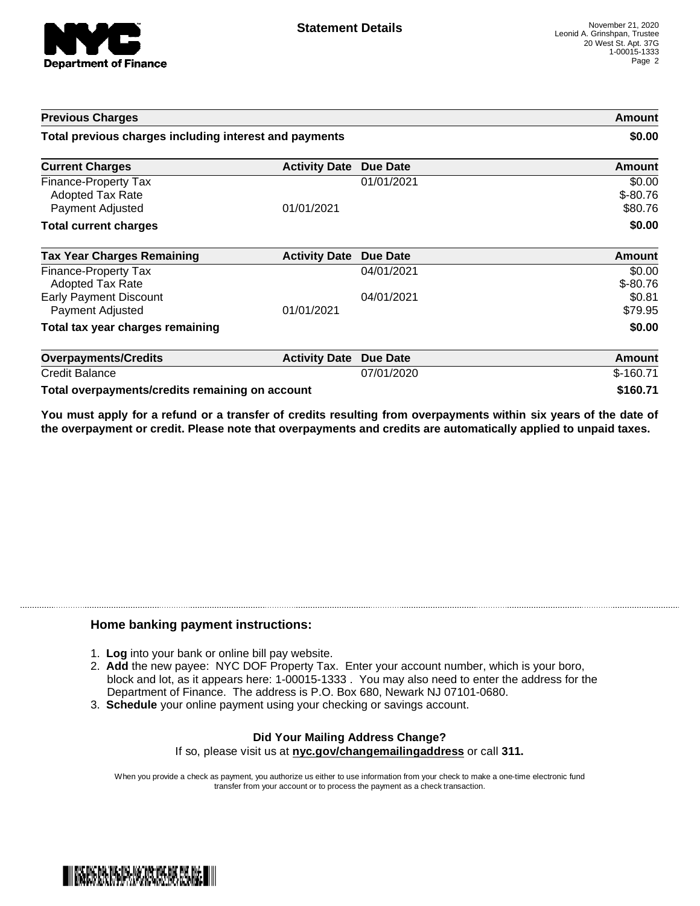

| <b>Previous Charges</b>                                                    |                      |                 | Amount                          |
|----------------------------------------------------------------------------|----------------------|-----------------|---------------------------------|
| Total previous charges including interest and payments                     |                      |                 | \$0.00                          |
| <b>Current Charges</b>                                                     | <b>Activity Date</b> | Due Date        | Amount                          |
| <b>Finance-Property Tax</b><br><b>Adopted Tax Rate</b><br>Payment Adjusted | 01/01/2021           | 01/01/2021      | \$0.00<br>$$ -80.76$<br>\$80.76 |
| <b>Total current charges</b>                                               |                      |                 | \$0.00                          |
| <b>Tax Year Charges Remaining</b>                                          | <b>Activity Date</b> | Due Date        | Amount                          |
| <b>Finance-Property Tax</b><br><b>Adopted Tax Rate</b>                     |                      | 04/01/2021      | \$0.00<br>$$ -80.76$            |
| <b>Early Payment Discount</b><br>Payment Adjusted                          | 01/01/2021           | 04/01/2021      | \$0.81<br>\$79.95               |
| Total tax year charges remaining                                           |                      |                 | \$0.00                          |
| <b>Overpayments/Credits</b>                                                | <b>Activity Date</b> | <b>Due Date</b> | Amount                          |
| <b>Credit Balance</b>                                                      |                      | 07/01/2020      | $$-160.71$                      |
| Total overpayments/credits remaining on account                            |                      |                 | \$160.71                        |

You must apply for a refund or a transfer of credits resulting from overpayments within six years of the date of **the overpayment or credit. Please note that overpayments and credits are automatically applied to unpaid taxes.**

## **Home banking payment instructions:**

- 1. **Log** into your bank or online bill pay website.
- 2. **Add** the new payee: NYC DOF Property Tax. Enter your account number, which is your boro, block and lot, as it appears here: 1-00015-1333 . You may also need to enter the address for the Department of Finance. The address is P.O. Box 680, Newark NJ 07101-0680.
- 3. **Schedule** your online payment using your checking or savings account.

## **Did Your Mailing Address Change?** If so, please visit us at **nyc.gov/changemailingaddress** or call **311.**

When you provide a check as payment, you authorize us either to use information from your check to make a one-time electronic fund transfer from your account or to process the payment as a check transaction.